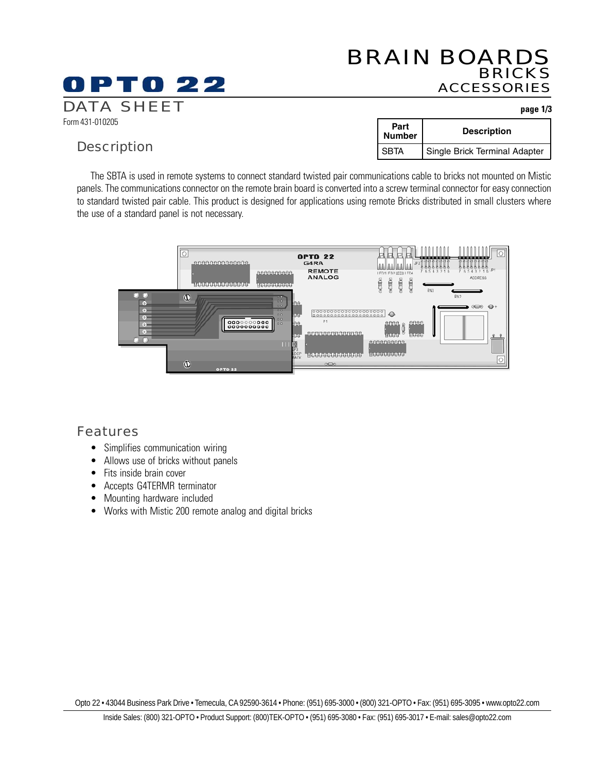# BRAIN BOARDS BRICKS ACCESSORIES

#### Form 431-010205 DATA SHEET **page 1/3**

### **Description**

0 P T 0 22

| Part<br><b>Number</b> | <b>Description</b>            |
|-----------------------|-------------------------------|
| <b>SBTA</b>           | Single Brick Terminal Adapter |

The SBTA is used in remote systems to connect standard twisted pair communications cable to bricks not mounted on Mistic panels. The communications connector on the remote brain board is converted into a screw terminal connector for easy connection to standard twisted pair cable. This product is designed for applications using remote Bricks distributed in small clusters where the use of a standard panel is not necessary.



#### Features

- Simplifies communication wiring
- Allows use of bricks without panels
- Fits inside brain cover
- Accepts G4TERMR terminator
- Mounting hardware included
- Works with Mistic 200 remote analog and digital bricks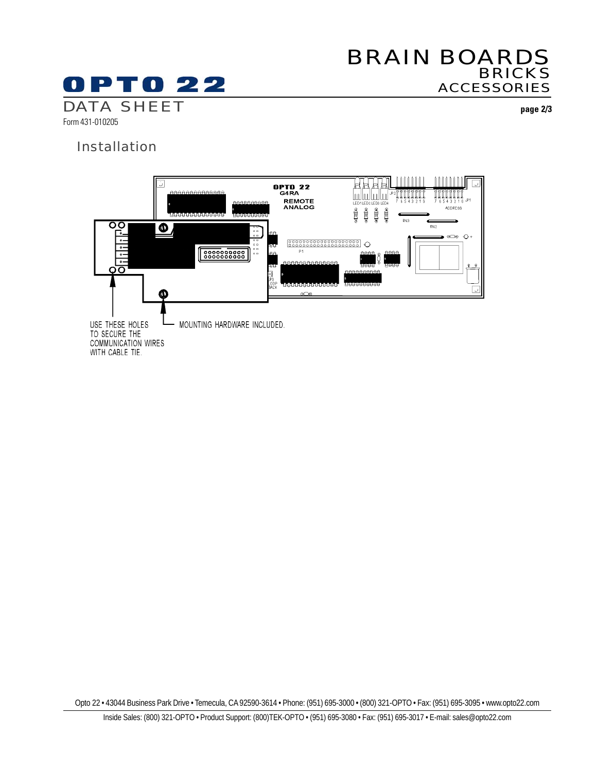# BRAIN BOARDS BRICKS ACCESSORIES

# **OPTO 22** DATA SHEET **page 2/3**

Form 431-010205

#### Installation



Opto 22 • 43044 Business Park Drive • Temecula, CA 92590-3614 • Phone: (951) 695-3000 • (800) 321-OPTO • Fax: (951) 695-3095 • www.opto22.com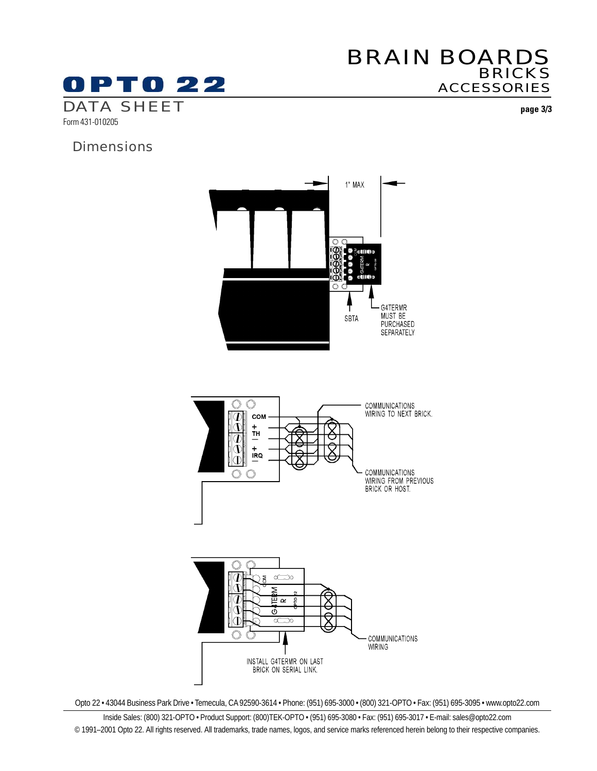# **OPTO 22** DATA SHEET **page 3/3**

# BRAIN BOARDS BRICKS ACCESSORIES

Form 431-010205

# **Dimensions**



Opto 22 • 43044 Business Park Drive • Temecula, CA 92590-3614 • Phone: (951) 695-3000 • (800) 321-OPTO • Fax: (951) 695-3095 • www.opto22.com

Inside Sales: (800) 321-OPTO • Product Support: (800)TEK-OPTO • (951) 695-3080 • Fax: (951) 695-3017 • E-mail: sales@opto22.com © 1991–2001 Opto 22. All rights reserved. All trademarks, trade names, logos, and service marks referenced herein belong to their respective companies.